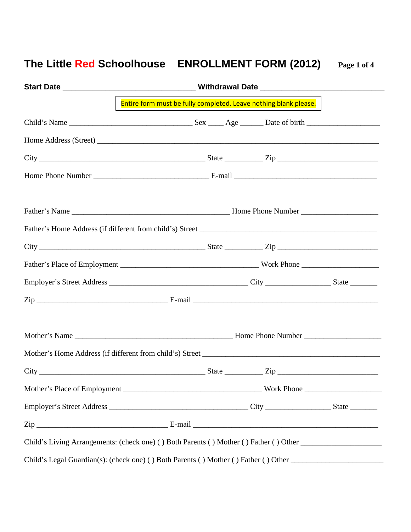## **The Little Red Schoolhouse ENROLLMENT FORM (2012) Page 1 of 4**

| Entire form must be fully completed. Leave nothing blank please.                                                                                                                                                                |  |
|---------------------------------------------------------------------------------------------------------------------------------------------------------------------------------------------------------------------------------|--|
|                                                                                                                                                                                                                                 |  |
|                                                                                                                                                                                                                                 |  |
|                                                                                                                                                                                                                                 |  |
|                                                                                                                                                                                                                                 |  |
|                                                                                                                                                                                                                                 |  |
|                                                                                                                                                                                                                                 |  |
|                                                                                                                                                                                                                                 |  |
|                                                                                                                                                                                                                                 |  |
|                                                                                                                                                                                                                                 |  |
|                                                                                                                                                                                                                                 |  |
|                                                                                                                                                                                                                                 |  |
|                                                                                                                                                                                                                                 |  |
|                                                                                                                                                                                                                                 |  |
| $City$ $\rule{1em}{0.15mm}$ $\rule{1em}{0.15mm}$ $\qquad \qquad$ $\qquad \qquad$ $\qquad \qquad$ $Step$ $\rule{1em}{0.15mm}$ $\qquad \qquad \qquad$ $\qquad \qquad$ $\qquad \qquad$ $\qquad \qquad$ $Step$ $\rule{1em}{0.15mm}$ |  |
|                                                                                                                                                                                                                                 |  |
|                                                                                                                                                                                                                                 |  |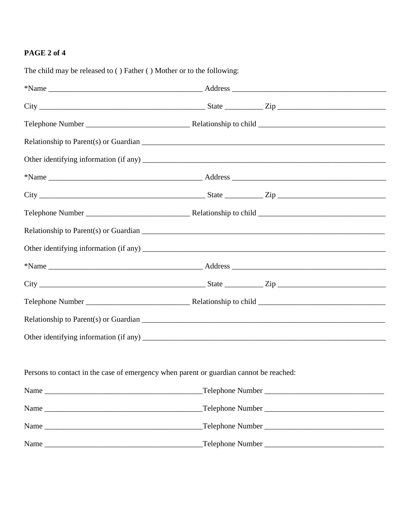## PAGE 2 of 4

| The child may be released to () Father () Mother or to the following:                  |                                                                                                                                                                                                                                                                                                                                      |  |
|----------------------------------------------------------------------------------------|--------------------------------------------------------------------------------------------------------------------------------------------------------------------------------------------------------------------------------------------------------------------------------------------------------------------------------------|--|
|                                                                                        |                                                                                                                                                                                                                                                                                                                                      |  |
|                                                                                        | $City$ $\rule{1em}{0.15mm}$ $\rule{1em}{0.15mm}$ $\rule{1em}{0.15mm}$ $\rule{1em}{0.15mm}$ $\qquad$ $\qquad$ $\qquad$ $\qquad$ $\qquad$ $\qquad$ $\qquad$ $\qquad$ $\qquad$ $\qquad$ $\qquad$ $\qquad$ $\qquad$ $\qquad$ $\qquad$ $\qquad$ $\qquad$ $\qquad$ $\qquad$ $\qquad$ $\qquad$ $\qquad$ $\qquad$ $\qquad$ $\qquad$ $\qquad$ |  |
|                                                                                        |                                                                                                                                                                                                                                                                                                                                      |  |
|                                                                                        |                                                                                                                                                                                                                                                                                                                                      |  |
|                                                                                        |                                                                                                                                                                                                                                                                                                                                      |  |
|                                                                                        |                                                                                                                                                                                                                                                                                                                                      |  |
|                                                                                        | $City$ $\rule{1em}{0.15mm}$ $\rule{1em}{0.15mm}$ $\rule{1em}{0.15mm}$ $\rule{1em}{0.15mm}$ $\qquad$ $\qquad$ $\qquad$ $\qquad$ $\qquad$ $\qquad$ $\qquad$ $\qquad$ $\qquad$ $\qquad$ $\qquad$ $\qquad$ $\qquad$ $\qquad$ $\qquad$ $\qquad$ $\qquad$ $\qquad$ $\qquad$ $\qquad$ $\qquad$ $\qquad$ $\qquad$ $\qquad$ $\qquad$ $\qquad$ |  |
|                                                                                        |                                                                                                                                                                                                                                                                                                                                      |  |
|                                                                                        |                                                                                                                                                                                                                                                                                                                                      |  |
|                                                                                        |                                                                                                                                                                                                                                                                                                                                      |  |
|                                                                                        |                                                                                                                                                                                                                                                                                                                                      |  |
|                                                                                        |                                                                                                                                                                                                                                                                                                                                      |  |
|                                                                                        |                                                                                                                                                                                                                                                                                                                                      |  |
|                                                                                        |                                                                                                                                                                                                                                                                                                                                      |  |
|                                                                                        |                                                                                                                                                                                                                                                                                                                                      |  |
|                                                                                        |                                                                                                                                                                                                                                                                                                                                      |  |
| Persons to contact in the case of emergency when parent or guardian cannot be reached: |                                                                                                                                                                                                                                                                                                                                      |  |
|                                                                                        |                                                                                                                                                                                                                                                                                                                                      |  |
|                                                                                        |                                                                                                                                                                                                                                                                                                                                      |  |
|                                                                                        |                                                                                                                                                                                                                                                                                                                                      |  |
|                                                                                        |                                                                                                                                                                                                                                                                                                                                      |  |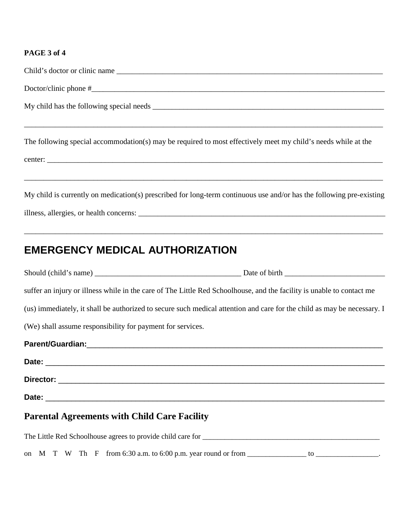## **PAGE 3 of 4**

| The following special accommodation(s) may be required to most effectively meet my child's needs while at the                                                                                             |
|-----------------------------------------------------------------------------------------------------------------------------------------------------------------------------------------------------------|
| ,我们也不能在这里的人,我们也不能在这里的人,我们也不能在这里的人,我们也不能在这里的人,我们也不能在这里的人,我们也不能在这里的人,我们也不能在这里的人,我们也<br>My child is currently on medication(s) prescribed for long-term continuous use and/or has the following pre-existing |
| <b>EMERGENCY MEDICAL AUTHORIZATION</b>                                                                                                                                                                    |
|                                                                                                                                                                                                           |
|                                                                                                                                                                                                           |
| suffer an injury or illness while in the care of The Little Red Schoolhouse, and the facility is unable to contact me                                                                                     |
| (us) immediately, it shall be authorized to secure such medical attention and care for the child as may be necessary. I                                                                                   |
| (We) shall assume responsibility for payment for services.                                                                                                                                                |
|                                                                                                                                                                                                           |
| Date:                                                                                                                                                                                                     |
|                                                                                                                                                                                                           |
|                                                                                                                                                                                                           |
| <b>Parental Agreements with Child Care Facility</b>                                                                                                                                                       |

on  $M$   $T$   $W$   $T$ h  $F$  from 6:30 a.m. to 6:00 p.m. year round or from  $\underline{\hspace{1cm}}$  to  $\underline{\hspace{1cm}}$